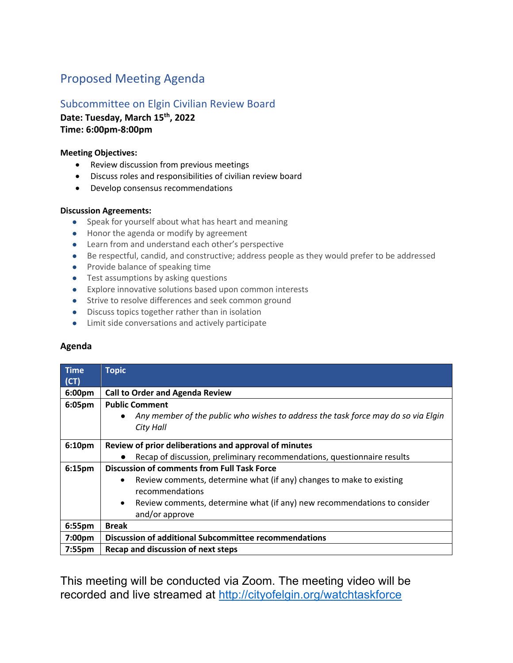## Proposed Meeting Agenda

# Subcommittee on Elgin Civilian Review Board

**Date: Tuesday, March 15th, 2022 Time: 6:00pm-8:00pm**

### **Meeting Objectives:**

- Review discussion from previous meetings
- Discuss roles and responsibilities of civilian review board
- Develop consensus recommendations

#### **Discussion Agreements:**

- Speak for yourself about what has heart and meaning
- Honor the agenda or modify by agreement
- Learn from and understand each other's perspective
- Be respectful, candid, and constructive; address people as they would prefer to be addressed
- Provide balance of speaking time
- Test assumptions by asking questions
- Explore innovative solutions based upon common interests
- Strive to resolve differences and seek common ground
- Discuss topics together rather than in isolation
- Limit side conversations and actively participate

### **Agenda**

| <b>Time</b><br>(CT) | <b>Topic</b>                                                                                   |
|---------------------|------------------------------------------------------------------------------------------------|
| 6:00pm              | <b>Call to Order and Agenda Review</b>                                                         |
| 6:05pm              | <b>Public Comment</b>                                                                          |
|                     | Any member of the public who wishes to address the task force may do so via Elgin<br>$\bullet$ |
|                     | City Hall                                                                                      |
| 6:10pm              | Review of prior deliberations and approval of minutes                                          |
|                     | Recap of discussion, preliminary recommendations, questionnaire results                        |
| 6:15pm              | <b>Discussion of comments from Full Task Force</b>                                             |
|                     | Review comments, determine what (if any) changes to make to existing<br>$\bullet$              |
|                     | recommendations                                                                                |
|                     | Review comments, determine what (if any) new recommendations to consider<br>$\bullet$          |
|                     | and/or approve                                                                                 |
| 6:55pm              | <b>Break</b>                                                                                   |
| 7:00 <sub>pm</sub>  | Discussion of additional Subcommittee recommendations                                          |
| 7:55 <sub>pm</sub>  | Recap and discussion of next steps                                                             |

This meeting will be conducted via Zoom. The meeting video will be recorded and live streamed at http://cityofelgin.org/watchtaskforce